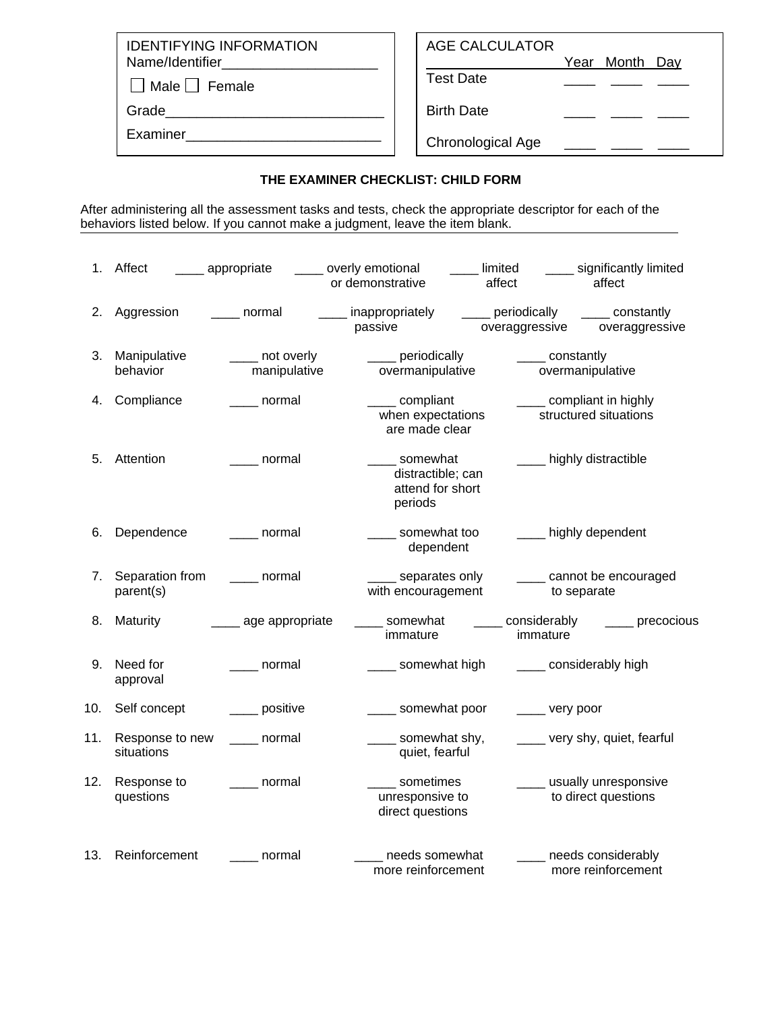IDENTIFYING INFORMATION Name/Identifier\_

 $\Box$  Male  $\Box$  Female

Grade\_\_\_\_\_\_\_\_\_\_\_\_\_\_\_\_\_\_\_\_\_\_\_\_\_\_\_\_

Examiner\_\_\_\_\_\_\_\_\_\_\_\_\_\_\_\_\_\_\_\_\_\_\_\_\_

## AGE CALCULATOR

Year Month Day

Test Date

Birth Date

Chronological Age \_\_\_\_ \_\_

## **THE EXAMINER CHECKLIST: CHILD FORM**

After administering all the assessment tasks and tests, check the appropriate descriptor for each of the behaviors listed below. If you cannot make a judgment, leave the item blank.

|     | 1. Affect                     | appropriate                      | overly emotional<br>or demonstrative                         | limited<br>affect                  | affect                                             | significantly limited        |
|-----|-------------------------------|----------------------------------|--------------------------------------------------------------|------------------------------------|----------------------------------------------------|------------------------------|
| 2.  | Aggression                    | normal                           | inappropriately<br>passive                                   | ___ periodically<br>overaggressive |                                                    | constantly<br>overaggressive |
| 3.  | Manipulative<br>behavior      | _____ not overly<br>manipulative | ___ periodically<br>overmanipulative                         |                                    | _____ constantly<br>overmanipulative               |                              |
| 4.  | Compliance                    | ____ normal                      | ____ compliant<br>when expectations<br>are made clear        |                                    | _____ compliant in highly<br>structured situations |                              |
| 5.  | Attention                     | normal                           | somewhat<br>distractible; can<br>attend for short<br>periods |                                    | highly distractible                                |                              |
| 6.  | Dependence                    | ____ normal                      | somewhat too<br>dependent                                    |                                    | ____ highly dependent                              |                              |
| 7.  | Separation from<br>parent(s)  | _____ normal                     | separates only<br>with encouragement                         |                                    | _____ cannot be encouraged<br>to separate          |                              |
| 8.  | <b>Maturity</b>               | ___ age appropriate              | somewhat<br>immature                                         |                                    | considerably<br>immature                           | _____ precocious             |
| 9.  | Need for<br>approval          | ____ normal                      | _____ somewhat high                                          |                                    | ____ considerably high                             |                              |
| 10. | Self concept                  | ___ positive                     | __ somewhat poor                                             |                                    | _____ very poor                                    |                              |
| 11. | Response to new<br>situations | normal                           | somewhat shy,<br>quiet, fearful                              |                                    | very shy, quiet, fearful                           |                              |
| 12. | Response to<br>questions      | normal                           | sometimes<br>unresponsive to<br>direct questions             |                                    | ____ usually unresponsive<br>to direct questions   |                              |
| 13. | Reinforcement                 | normal                           | needs somewhat<br>more reinforcement                         |                                    | needs considerably<br>more reinforcement           |                              |